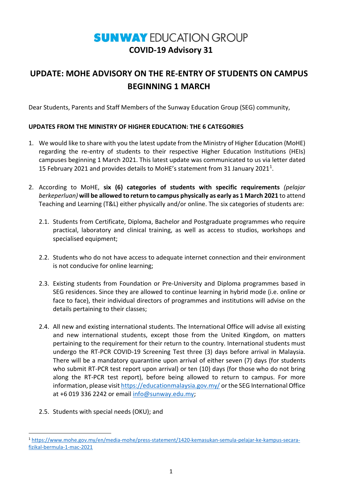# **SUNWAY EDUCATION GROUP COVID-19 Advisory 31**

# **UPDATE: MOHE ADVISORY ON THE RE-ENTRY OF STUDENTS ON CAMPUS BEGINNING 1 MARCH**

Dear Students, Parents and Staff Members of the Sunway Education Group (SEG) community,

# **UPDATES FROM THE MINISTRY OF HIGHER EDUCATION: THE 6 CATEGORIES**

- 1. We would like to share with you the latest update from the Ministry of Higher Education (MoHE) regarding the re-entry of students to their respective Higher Education Institutions (HEIs) campuses beginning 1 March 2021. This latest update was communicated to us via letter dated 15 February 2021 and provides details to MoHE's statement from 31 January 2021<sup>1</sup>.
- 2. According to MoHE, **six (6) categories of students with specific requirements** *(pelajar berkeperluan)* **will be allowed to return to campus physically as early as 1 March 2021** to attend Teaching and Learning (T&L) either physically and/or online. The six categories of students are:
	- 2.1. Students from Certificate, Diploma, Bachelor and Postgraduate programmes who require practical, laboratory and clinical training, as well as access to studios, workshops and specialised equipment;
	- 2.2. Students who do not have access to adequate internet connection and their environment is not conducive for online learning;
	- 2.3. Existing students from Foundation or Pre-University and Diploma programmes based in SEG residences. Since they are allowed to continue learning in hybrid mode (i.e. online or face to face), their individual directors of programmes and institutions will advise on the details pertaining to their classes;
	- 2.4. All new and existing international students. The International Office will advise all existing and new international students, except those from the United Kingdom, on matters pertaining to the requirement for their return to the country. International students must undergo the RT-PCR COVID-19 Screening Test three (3) days before arrival in Malaysia. There will be a mandatory quarantine upon arrival of either seven (7) days (for students who submit RT-PCR test report upon arrival) or ten (10) days (for those who do not bring along the RT-PCR test report), before being allowed to return to campus. For more information, please visi[t https://educationmalaysia.gov.my/](https://educationmalaysia.gov.my/) or the SEG International Office at +6 019 336 2242 or email [info@sunway.edu.my;](mailto:info@sunway.edu.my)
	- 2.5. Students with special needs (OKU); and

<span id="page-0-0"></span> <sup>1</sup> [https://www.mohe.gov.my/en/media-mohe/press-statement/1420-kemasukan-semula-pelajar-ke-kampus-secara](https://www.mohe.gov.my/en/media-mohe/press-statement/1420-kemasukan-semula-pelajar-ke-kampus-secara-fizikal-bermula-1-mac-2021)[fizikal-bermula-1-mac-2021](https://www.mohe.gov.my/en/media-mohe/press-statement/1420-kemasukan-semula-pelajar-ke-kampus-secara-fizikal-bermula-1-mac-2021)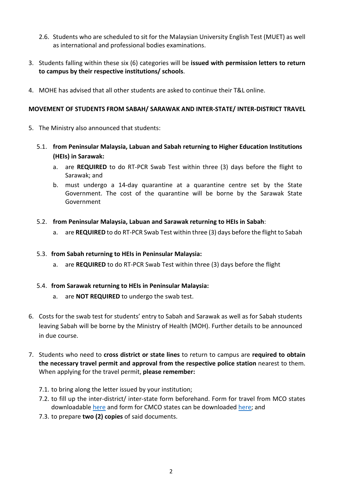- 2.6. Students who are scheduled to sit for the Malaysian University English Test (MUET) as well as international and professional bodies examinations.
- 3. Students falling within these six (6) categories will be **issued with permission letters to return to campus by their respective institutions/ schools**.
- 4. MOHE has advised that all other students are asked to continue their T&L online.

#### **MOVEMENT OF STUDENTS FROM SABAH/ SARAWAK AND INTER-STATE/ INTER-DISTRICT TRAVEL**

- 5. The Ministry also announced that students:
	- 5.1. **from Peninsular Malaysia, Labuan and Sabah returning to Higher Education Institutions (HEIs) in Sarawak:** 
		- a. are **REQUIRED** to do RT-PCR Swab Test within three (3) days before the flight to Sarawak; and
		- b. must undergo a 14-day quarantine at a quarantine centre set by the State Government. The cost of the quarantine will be borne by the Sarawak State Government
	- 5.2. **from Peninsular Malaysia, Labuan and Sarawak returning to HEIs in Sabah**:
		- a. are **REQUIRED** to do RT-PCR Swab Test within three (3) days before the flight to Sabah

#### 5.3. **from Sabah returning to HEIs in Peninsular Malaysia:**

a. are **REQUIRED** to do RT-PCR Swab Test within three (3) days before the flight

# 5.4. **from Sarawak returning to HEIs in Peninsular Malaysia:**

- a. are **NOT REQUIRED** to undergo the swab test.
- 6. Costs for the swab test for students' entry to Sabah and Sarawak as well as for Sabah students leaving Sabah will be borne by the Ministry of Health (MOH). Further details to be announced in due course.
- 7. Students who need to **cross district or state lines** to return to campus are **required to obtain the necessary travel permit and approval from the respective police station** nearest to them. When applying for the travel permit, **please remember:**
	- 7.1. to bring along the letter issued by your institution;
	- 7.2. to fill up the inter-district/ inter-state form beforehand. Form for travel from MCO states downloadable [here](https://www.rmp.gov.my/docs/default-source/permit-pergerakan-perintah-kawalan-pergerakan-(pkp)/borang-permit-pergerakan-perintah-kawalan-pergerakan-(pkp).jpeg) and form for CMCO states can be downloaded [here;](https://www.rmp.gov.my/docs/default-source/Penerbitan/borang-permit-pergerakan-pkpb.pdf?sfvrsn=2) and
	- 7.3. to prepare **two (2) copies** of said documents.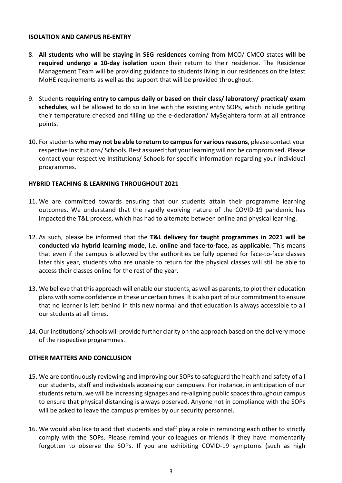#### **ISOLATION AND CAMPUS RE-ENTRY**

- 8. **All students who will be staying in SEG residences** coming from MCO/ CMCO states **will be required undergo a 10-day isolation** upon their return to their residence. The Residence Management Team will be providing guidance to students living in our residences on the latest MoHE requirements as well as the support that will be provided throughout.
- 9. Students **requiring entry to campus daily or based on their class/ laboratory/ practical/ exam schedules**, will be allowed to do so in line with the existing entry SOPs, which include getting their temperature checked and filling up the e-declaration/ MySejahtera form at all entrance points.
- 10. For students **who may not be able to return to campus for various reasons**, please contact your respective Institutions/ Schools. Rest assured that your learning will not be compromised. Please contact your respective Institutions/ Schools for specific information regarding your individual programmes.

# **HYBRID TEACHING & LEARNING THROUGHOUT 2021**

- 11. We are committed towards ensuring that our students attain their programme learning outcomes. We understand that the rapidly evolving nature of the COVID-19 pandemic has impacted the T&L process, which has had to alternate between online and physical learning.
- 12. As such, please be informed that the **T&L delivery for taught programmes in 2021 will be conducted via hybrid learning mode, i.e. online and face-to-face, as applicable.** This means that even if the campus is allowed by the authorities be fully opened for face-to-face classes later this year, students who are unable to return for the physical classes will still be able to access their classes online for the rest of the year.
- 13. We believe that this approach will enable our students, as well as parents, to plot their education plans with some confidence in these uncertain times. It is also part of our commitment to ensure that no learner is left behind in this new normal and that education is always accessible to all our students at all times.
- 14. Our institutions/ schools will provide further clarity on the approach based on the delivery mode of the respective programmes.

# **OTHER MATTERS AND CONCLUSION**

- 15. We are continuously reviewing and improving our SOPs to safeguard the health and safety of all our students, staff and individuals accessing our campuses. For instance, in anticipation of our students return, we will be increasing signages and re-aligning public spaces throughout campus to ensure that physical distancing is always observed. Anyone not in compliance with the SOPs will be asked to leave the campus premises by our security personnel.
- 16. We would also like to add that students and staff play a role in reminding each other to strictly comply with the SOPs. Please remind your colleagues or friends if they have momentarily forgotten to observe the SOPs. If you are exhibiting COVID-19 symptoms (such as high